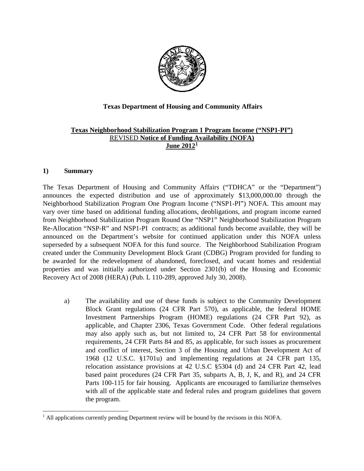

# **Texas Department of Housing and Community Affairs**

### **Texas Neighborhood Stabilization Program 1 Program Income ("NSP1-PI")** REVISED **Notice of Funding Availability (NOFA) June 2012[1](#page-0-0)**

### **1) Summary**

l

The Texas Department of Housing and Community Affairs ("TDHCA" or the "Department") [announces the expected distribution and use of approximately \\$13,000,000.00 through the](http://13,000,000.00)  Neighborhood Stabilization Program One Program Income ("NSP1-PI") NOFA. This amount may vary over time based on additional funding allocations, deobligations, and program income earned from Neighborhood Stabilization Program Round One "NSP1" Neighborhood Stabilization Program Re-Allocation "NSP-R" and NSP1-PI contracts; as additional funds become available, they will be announced on the Department's website for continued application under this NOFA unless superseded by a subsequent NOFA for this fund source. The Neighborhood Stabilization Program created under the Community Development Block Grant (CDBG) Program provided for funding to be awarded for the redevelopment of abandoned, foreclosed, and vacant homes and residential properties and was initially authorized under Section 2301(b) of the Housing and Economic Recovery Act of 2008 (HERA) (Pub. L 110-289, approved July 30, 2008).

a) The availability and use of these funds is subject to the Community Development Block Grant regulations (24 CFR Part 570), as applicable, the federal HOME Investment Partnerships Program (HOME) regulations (24 CFR Part 92), as applicable, and Chapter 2306, Texas Government Code. Other federal regulations may also apply such as, but not limited to, 24 CFR Part 58 for environmental requirements, 24 CFR Parts 84 and 85, as applicable, for such issues as procurement and conflict of interest, Section 3 of the Housing and Urban Development Act of 1968 (12 U.S.C. §1701u) and implementing regulations at 24 CFR part 135, relocation assistance provisions at 42 U.S.C §5304 (d) and 24 CFR Part 42, lead based paint procedures (24 CFR Part 35, subparts A, B, J, K, and R), and 24 CFR Parts 100-115 for fair housing. Applicants are encouraged to familiarize themselves with all of the applicable state and federal rules and program guidelines that govern the program.

<span id="page-0-0"></span> $<sup>1</sup>$  All applications currently pending Department review will be bound by the revisons in this NOFA.</sup>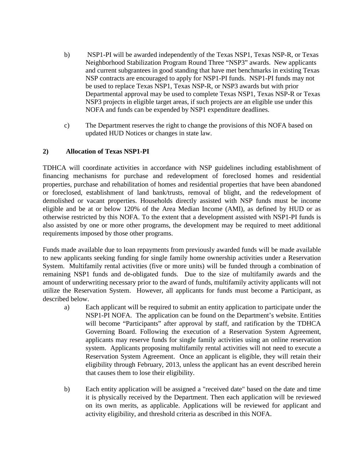- b) NSP1-PI will be awarded independently of the Texas NSP1, Texas NSP-R, or Texas Neighborhood Stabilization Program Round Three "NSP3" awards. New applicants and current subgrantees in good standing that have met benchmarks in existing Texas NSP contracts are encouraged to apply for NSP1-PI funds. NSP1-PI funds may not be used to replace Texas NSP1, Texas NSP-R, or NSP3 awards but with prior Departmental approval may be used to complete Texas NSP1, Texas NSP-R or Texas NSP3 projects in eligible target areas, if such projects are an eligible use under this NOFA and funds can be expended by NSP1 expenditure deadlines.
- c) The Department reserves the right to change the provisions of this NOFA based on updated HUD Notices or changes in state law.

# **2) Allocation of Texas NSP1-PI**

TDHCA will coordinate activities in accordance with NSP guidelines including establishment of financing mechanisms for purchase and redevelopment of foreclosed homes and residential properties, purchase and rehabilitation of homes and residential properties that have been abandoned or foreclosed, establishment of land bank/trusts, removal of blight, and the redevelopment of demolished or vacant properties. Households directly assisted with NSP funds must be income eligible and be at or below 120% of the Area Median Income (AMI), as defined by HUD or as otherwise restricted by this NOFA. To the extent that a development assisted with NSP1-PI funds is also assisted by one or more other programs, the development may be required to meet additional requirements imposed by those other programs.

Funds made available due to loan repayments from previously awarded funds will be made available to new applicants seeking funding for single family home ownership activities under a Reservation System. Multifamily rental activities (five or more units) will be funded through a combination of remaining NSP1 funds and de-obligated funds. Due to the size of multifamily awards and the amount of underwriting necessary prior to the award of funds, multifamily activity applicants will not utilize the Reservation System. However, all applicants for funds must become a Participant, as described below.

- a) Each applicant will be required to submit an entity application to participate under the NSP1-PI NOFA. The application can be found on the Department's website. Entities will become "Participants" after approval by staff, and ratification by the TDHCA Governing Board. Following the execution of a Reservation System Agreement, applicants may reserve funds for single family activities using an online reservation system. Applicants proposing multifamily rental activities will not need to execute a Reservation System Agreement. Once an applicant is eligible, they will retain their eligibility through February, 2013, unless the applicant has an event described herein that causes them to lose their eligibility.
- b) Each entity application will be assigned a "received date" based on the date and time it is physically received by the Department. Then each application will be reviewed on its own merits, as applicable. Applications will be reviewed for applicant and activity eligibility, and threshold criteria as described in this NOFA.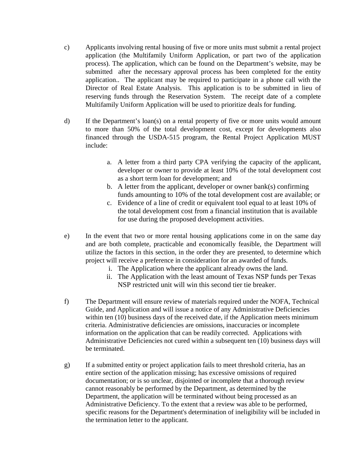- c) Applicants involving rental housing of five or more units must submit a rental project application (the Multifamily Uniform Application, or part two of the application process). The application, which can be found on the Department's website, may be submitted after the necessary approval process has been completed for the entity application.. The applicant may be required to participate in a phone call with the Director of Real Estate Analysis. This application is to be submitted in lieu of reserving funds through the Reservation System. The receipt date of a complete Multifamily Uniform Application will be used to prioritize deals for funding.
- d) If the Department's loan(s) on a rental property of five or more units would amount to more than 50% of the total development cost, except for developments also financed through the USDA-515 program, the Rental Project Application MUST include:
	- a. A letter from a third party CPA verifying the capacity of the applicant, developer or owner to provide at least 10% of the total development cost as a short term loan for development; and
	- b. A letter from the applicant, developer or owner bank(s) confirming funds amounting to 10% of the total development cost are available; or
	- c. Evidence of a line of credit or equivalent tool equal to at least 10% of the total development cost from a financial institution that is available for use during the proposed development activities.
- e) In the event that two or more rental housing applications come in on the same day and are both complete, practicable and economically feasible, the Department will utilize the factors in this section, in the order they are presented, to determine which project will receive a preference in consideration for an awarded of funds.
	- i. The Application where the applicant already owns the land.
	- ii. The Application with the least amount of Texas NSP funds per Texas NSP restricted unit will win this second tier tie breaker.
- f) The Department will ensure review of materials required under the NOFA, Technical Guide, and Application and will issue a notice of any Administrative Deficiencies within ten (10) business days of the received date, if the Application meets minimum criteria. Administrative deficiencies are omissions, inaccuracies or incomplete information on the application that can be readily corrected. Applications with Administrative Deficiencies not cured within a subsequent ten (10) business days will be terminated.
- g) If a submitted entity or project application fails to meet threshold criteria, has an entire section of the application missing; has excessive omissions of required documentation; or is so unclear, disjointed or incomplete that a thorough review cannot reasonably be performed by the Department, as determined by the Department, the application will be terminated without being processed as an Administrative Deficiency. To the extent that a review was able to be performed, specific reasons for the Department's determination of ineligibility will be included in the termination letter to the applicant.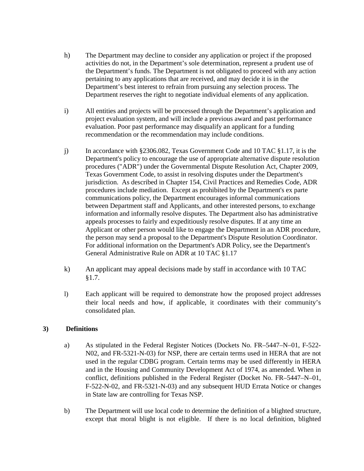- h) The Department may decline to consider any application or project if the proposed activities do not, in the Department's sole determination, represent a prudent use of the Department's funds. The Department is not obligated to proceed with any action pertaining to any applications that are received, and may decide it is in the Department's best interest to refrain from pursuing any selection process. The Department reserves the right to negotiate individual elements of any application.
- i) All entities and projects will be processed through the Department's application and project evaluation system, and will include a previous award and past performance evaluation. Poor past performance may disqualify an applicant for a funding recommendation or the recommendation may include conditions.
- j) In accordance with §2306.082, Texas Government Code and 10 TAC §1.17, it is the Department's policy to encourage the use of appropriate alternative dispute resolution procedures ("ADR") under the Governmental Dispute Resolution Act, Chapter 2009, Texas Government Code, to assist in resolving disputes under the Department's jurisdiction. As described in Chapter 154, Civil Practices and Remedies Code, ADR procedures include mediation. Except as prohibited by the Department's ex parte communications policy, the Department encourages informal communications between Department staff and Applicants, and other interested persons, to exchange information and informally resolve disputes. The Department also has administrative appeals processes to fairly and expeditiously resolve disputes. If at any time an Applicant or other person would like to engage the Department in an ADR procedure, the person may send a proposal to the Department's Dispute Resolution Coordinator. For additional information on the Department's ADR Policy, see the Department's General Administrative Rule on ADR at 10 TAC §1.17
- k) An applicant may appeal decisions made by staff in accordance with 10 TAC §1.7.
- l) Each applicant will be required to demonstrate how the proposed project addresses their local needs and how, if applicable, it coordinates with their community's consolidated plan.

# **3) Definitions**

- a) As stipulated in the Federal Register Notices (Dockets No. FR–5447–N–01, F-522- N02, and FR-5321-N-03) for NSP, there are certain terms used in HERA that are not used in the regular CDBG program. Certain terms may be used differently in HERA and in the Housing and Community Development Act of 1974, as amended. When in conflict, definitions published in the Federal Register (Docket No. FR–5447–N–01, F-522-N-02, and FR-5321-N-03) and any subsequent HUD Errata Notice or changes in State law are controlling for Texas NSP.
- b) The Department will use local code to determine the definition of a blighted structure, except that moral blight is not eligible. If there is no local definition, blighted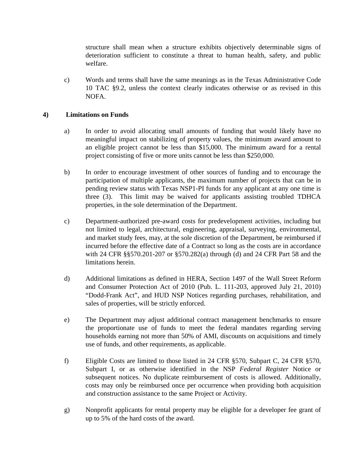structure shall mean when a structure exhibits objectively determinable signs of deterioration sufficient to constitute a threat to human health, safety, and public welfare.

c) Words and terms shall have the same meanings as in the Texas Administrative Code 10 TAC §9.2, unless the context clearly indicates otherwise or as revised in this NOFA.

# **4) Limitations on Funds**

- a) In order to avoid allocating small amounts of funding that would likely have no meaningful impact on stabilizing of property values, the minimum award amount to an eligible project cannot be less than \$15,000. The minimum award for a rental project consisting of five or more units cannot be less than \$250,000.
- b) In order to encourage investment of other sources of funding and to encourage the participation of multiple applicants, the maximum number of projects that can be in pending review status with Texas NSP1-PI funds for any applicant at any one time is three (3). This limit may be waived for applicants assisting troubled TDHCA properties, in the sole determination of the Department.
- c) Department-authorized pre-award costs for predevelopment activities, including but not limited to legal, architectural, engineering, appraisal, surveying, environmental, and market study fees, may, at the sole discretion of the Department, be reimbursed if incurred before the effective date of a Contract so long as the costs are in accordance with 24 CFR §§570.201-207 or §570.282(a) through (d) and 24 CFR Part 58 and the limitations herein.
- d) Additional limitations as defined in HERA, Section 1497 of the Wall Street Reform and Consumer Protection Act of 2010 (Pub. L. 111-203, approved July 21, 2010) "Dodd-Frank Act", and HUD NSP Notices regarding purchases, rehabilitation, and sales of properties, will be strictly enforced.
- e) The Department may adjust additional contract management benchmarks to ensure the proportionate use of funds to meet the federal mandates regarding serving households earning not more than 50% of AMI, discounts on acquisitions and timely use of funds, and other requirements, as applicable.
- f) Eligible Costs are limited to those listed in 24 CFR §570, Subpart C, 24 CFR §570, Subpart I, or as otherwise identified in the NSP *Federal Register* Notice or subsequent notices. No duplicate reimbursement of costs is allowed. Additionally, costs may only be reimbursed once per occurrence when providing both acquisition and construction assistance to the same Project or Activity.
- g) Nonprofit applicants for rental property may be eligible for a developer fee grant of up to 5% of the hard costs of the award.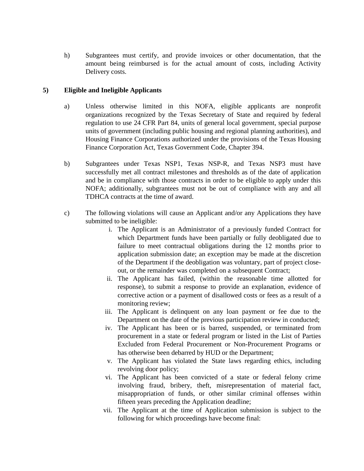h) Subgrantees must certify, and provide invoices or other documentation, that the amount being reimbursed is for the actual amount of costs, including Activity Delivery costs.

# **5) Eligible and Ineligible Applicants**

- a) Unless otherwise limited in this NOFA, eligible applicants are nonprofit organizations recognized by the Texas Secretary of State and required by federal regulation to use 24 CFR Part 84, units of general local government, special purpose units of government (including public housing and regional planning authorities), and Housing Finance Corporations authorized under the provisions of the Texas Housing Finance Corporation Act, Texas Government Code, Chapter 394.
- b) Subgrantees under Texas NSP1, Texas NSP-R, and Texas NSP3 must have successfully met all contract milestones and thresholds as of the date of application and be in compliance with those contracts in order to be eligible to apply under this NOFA; additionally, subgrantees must not be out of compliance with any and all TDHCA contracts at the time of award.
- c) The following violations will cause an Applicant and/or any Applications they have submitted to be ineligible:
	- i. The Applicant is an Administrator of a previously funded Contract for which Department funds have been partially or fully deobligated due to failure to meet contractual obligations during the 12 months prior to application submission date; an exception may be made at the discretion of the Department if the deobligation was voluntary, part of project closeout, or the remainder was completed on a subsequent Contract;
	- ii. The Applicant has failed, (within the reasonable time allotted for response), to submit a response to provide an explanation, evidence of corrective action or a payment of disallowed costs or fees as a result of a monitoring review;
	- iii. The Applicant is delinquent on any loan payment or fee due to the Department on the date of the previous participation review in conducted;
	- iv. The Applicant has been or is barred, suspended, or terminated from procurement in a state or federal program or listed in the List of Parties Excluded from Federal Procurement or Non-Procurement Programs or has otherwise been debarred by HUD or the Department;
	- v. The Applicant has violated the State laws regarding ethics, including revolving door policy;
	- vi. The Applicant has been convicted of a state or federal felony crime involving fraud, bribery, theft, misrepresentation of material fact, misappropriation of funds, or other similar criminal offenses within fifteen years preceding the Application deadline;
	- vii. The Applicant at the time of Application submission is subject to the following for which proceedings have become final: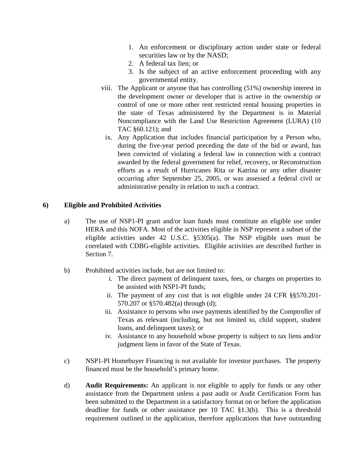- 1. An enforcement or disciplinary action under state or federal securities law or by the NASD;
- 2. A federal tax lien; or
- 3. Is the subject of an active enforcement proceeding with any governmental entity.
- viii. The Applicant or anyone that has controlling (51%) ownership interest in the development owner or developer that is active in the ownership or control of one or more other rent restricted rental housing properties in the state of Texas administered by the Department is in Material Noncompliance with the Land Use Restriction Agreement (LURA) (10 TAC §60.121); and
	- ix. Any Application that includes financial participation by a Person who, during the five-year period preceding the date of the bid or award, has been convicted of violating a federal law in connection with a contract awarded by the federal government for relief, recovery, or Reconstruction efforts as a result of Hurricanes Rita or Katrina or any other disaster occurring after September 25, 2005, or was assessed a federal civil or administrative penalty in relation to such a contract.

# **6) Eligible and Prohibited Activities**

- a) The use of NSP1-PI grant and/or loan funds must constitute an eligible use under HERA and this NOFA. Most of the activities eligible in NSP represent a subset of the eligible activities under 42 U.S.C. §5305(a). The NSP eligible uses must be correlated with CDBG-eligible activities. Eligible activities are described further in Section 7.
- b) Prohibited activities include, but are not limited to:
	- i. The direct payment of delinquent taxes, fees, or charges on properties to be assisted with NSP1-PI funds;
	- ii. The payment of any cost that is not eligible under 24 CFR §§570.201- 570.207 or §570.482(a) through (d);
	- iii. Assistance to persons who owe payments identified by the Comptroller of Texas as relevant (including, but not limited to, child support, student loans, and delinquent taxes); or
	- iv. Assistance to any household whose property is subject to tax liens and/or judgment liens in favor of the State of Texas.
- c) NSP1-PI Homebuyer Financing is not available for investor purchases. The property financed must be the household's primary home.
- d) **Audit Requirements:** An applicant is not eligible to apply for funds or any other assistance from the Department unless a past audit or Audit Certification Form has been submitted to the Department in a satisfactory format on or before the application deadline for funds or other assistance per 10 TAC §1.3(b). This is a threshold requirement outlined in the application, therefore applications that have outstanding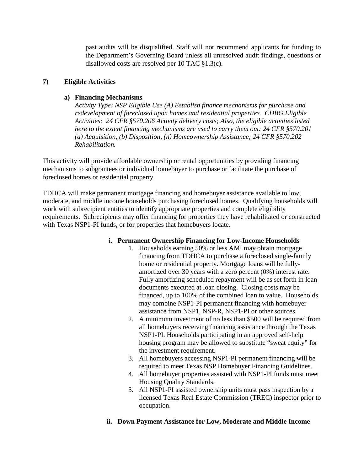past audits will be disqualified. Staff will not recommend applicants for funding to the Department's Governing Board unless all unresolved audit findings, questions or disallowed costs are resolved per 10 TAC §1.3(c).

# **7) Eligible Activities**

### **a) Financing Mechanisms**

*Activity Type: NSP Eligible Use (A) Establish finance mechanisms for purchase and redevelopment of foreclosed upon homes and residential properties. CDBG Eligible Activities: 24 CFR §570.206 Activity delivery costs; Also, the eligible activities listed here to the extent financing mechanisms are used to carry them out: 24 CFR §570.201 (a) Acquisition, (b) Disposition, (n) Homeownership Assistance; 24 CFR §570.202 Rehabilitation.*

This activity will provide affordable ownership or rental opportunities by providing financing mechanisms to subgrantees or individual homebuyer to purchase or facilitate the purchase of foreclosed homes or residential property.

TDHCA will make permanent mortgage financing and homebuyer assistance available to low, moderate, and middle income households purchasing foreclosed homes. Qualifying households will work with subrecipient entities to identify appropriate properties and complete eligibility requirements. Subrecipients may offer financing for properties they have rehabilitated or constructed with Texas NSP1-PI funds, or for properties that homebuyers locate.

#### i. **Permanent Ownership Financing for Low-Income Households**

- 1. Households earning 50% or less AMI may obtain mortgage financing from TDHCA to purchase a foreclosed single-family home or residential property. Mortgage loans will be fullyamortized over 30 years with a zero percent (0%) interest rate. Fully amortizing scheduled repayment will be as set forth in loan documents executed at loan closing. Closing costs may be financed, up to 100% of the combined loan to value. Households may combine NSP1-PI permanent financing with homebuyer assistance from NSP1, NSP-R, NSP1-PI or other sources.
- 2. A minimum investment of no less than \$500 will be required from all homebuyers receiving financing assistance through the Texas NSP1-PI. Households participating in an approved self-help housing program may be allowed to substitute "sweat equity" for the investment requirement.
- 3. All homebuyers accessing NSP1-PI permanent financing will be required to meet Texas NSP Homebuyer Financing Guidelines.
- 4. All homebuyer properties assisted with NSP1-PI funds must meet Housing Quality Standards.
- 5. All NSP1-PI assisted ownership units must pass inspection by a licensed Texas Real Estate Commission (TREC) inspector prior to occupation.
- **ii. Down Payment Assistance for Low, Moderate and Middle Income**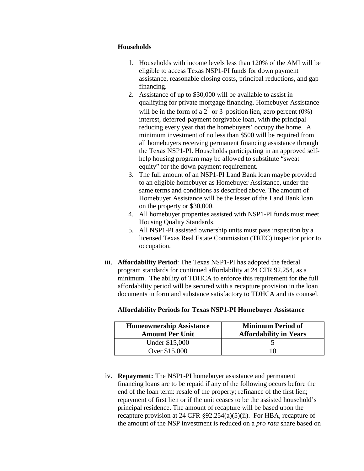#### **Households**

- 1. Households with income levels less than 120% of the AMI will be eligible to access Texas NSP1-PI funds for down payment assistance, reasonable closing costs, principal reductions, and gap financing.
- 2. Assistance of up to \$30,000 will be available to assist in qualifying for private mortgage financing. Homebuyer Assistance will be in the form of a 2<sup>nd</sup> or 3<sup>rd</sup> position lien, zero percent (0%) interest, deferred-payment forgivable loan, with the principal reducing every year that the homebuyers' occupy the home. A minimum investment of no less than \$500 will be required from all homebuyers receiving permanent financing assistance through the Texas NSP1-PI. Households participating in an approved selfhelp housing program may be allowed to substitute "sweat equity" for the down payment requirement.
- 3. The full amount of an NSP1-PI Land Bank loan maybe provided to an eligible homebuyer as Homebuyer Assistance, under the same terms and conditions as described above. The amount of Homebuyer Assistance will be the lesser of the Land Bank loan on the property or \$30,000.
- 4. All homebuyer properties assisted with NSP1-PI funds must meet Housing Quality Standards.
- 5. All NSP1-PI assisted ownership units must pass inspection by a licensed Texas Real Estate Commission (TREC) inspector prior to occupation.
- iii. **Affordability Period**: The Texas NSP1-PI has adopted the federal program standards for continued affordability at 24 CFR 92.254, as a minimum. The ability of TDHCA to enforce this requirement for the full affordability period will be secured with a recapture provision in the loan documents in form and substance satisfactory to TDHCA and its counsel.

| <b>Homeownership Assistance</b><br><b>Amount Per Unit</b> | <b>Minimum Period of</b><br><b>Affordability in Years</b> |
|-----------------------------------------------------------|-----------------------------------------------------------|
| Under \$15,000                                            |                                                           |
| Over \$15,000                                             |                                                           |

#### **Affordability Periods for Texas NSP1-PI Homebuyer Assistance**

iv. **Repayment:** The NSP1-PI homebuyer assistance and permanent financing loans are to be repaid if any of the following occurs before the end of the loan term: resale of the property; refinance of the first lien; repayment of first lien or if the unit ceases to be the assisted household's principal residence. The amount of recapture will be based upon the recapture provision at 24 CFR §92.254(a)(5)(ii). For HBA, recapture of the amount of the NSP investment is reduced on a *pro rata* share based on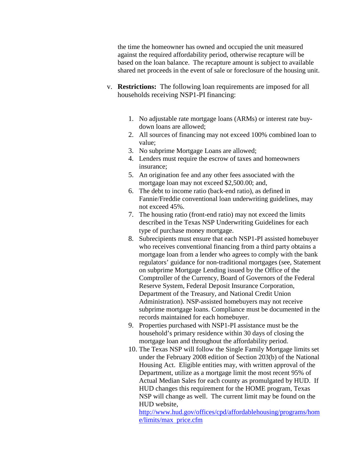the time the homeowner has owned and occupied the unit measured against the required affordability period, otherwise recapture will be based on the loan balance. The recapture amount is subject to available shared net proceeds in the event of sale or foreclosure of the housing unit.

- v. **Restrictions:** The following loan requirements are imposed for all households receiving NSP1-PI financing:
	- 1. No adjustable rate mortgage loans (ARMs) or interest rate buydown loans are allowed;
	- 2. All sources of financing may not exceed 100% combined loan to value;
	- 3. No subprime Mortgage Loans are allowed;
	- 4. Lenders must require the escrow of taxes and homeowners insurance;
	- 5. An origination fee and any other fees associated with the mortgage loan may [not exceed \\$2,500.00;](http://2,500.00) and,
	- 6. The debt to income ratio (back-end ratio), as defined in Fannie/Freddie conventional loan underwriting guidelines, may not exceed 45%.
	- 7. The housing ratio (front-end ratio) may not exceed the limits described in the Texas NSP Underwriting Guidelines for each type of purchase money mortgage.
	- 8. Subrecipients must ensure that each NSP1-PI assisted homebuyer who receives conventional financing from a third party obtains a mortgage loan from a lender who agrees to comply with the bank regulators' guidance for non-traditional mortgages (see, Statement on subprime Mortgage Lending issued by the Office of the Comptroller of the Currency, Board of Governors of the Federal Reserve System, Federal Deposit Insurance Corporation, Department of the Treasury, and National Credit Union Administration). NSP-assisted homebuyers may not receive subprime mortgage loans. Compliance must be documented in the records maintained for each homebuyer.
	- 9. Properties purchased with NSP1-PI assistance must be the household's primary residence within 30 days of closing the mortgage loan and throughout the affordability period.
	- 10. The Texas NSP will follow the Single Family Mortgage limits set under the February 2008 edition of Section 203(b) of the National Housing Act. Eligible entities may, with written approval of the Department, utilize as a mortgage limit the most recent 95% of Actual Median Sales for each county as promulgated by HUD. If HUD changes this requirement for the HOME program, Texas NSP will change as well. The current limit may be found on the HUD website,

[http://www.hud.gov/offices/cpd/affordablehousing/programs/hom](http://www.hud.gov/offices/cpd/affordablehousing/programs/home/limits/max) [e/limits/max](http://www.hud.gov/offices/cpd/affordablehousing/programs/home/limits/max) price.cfm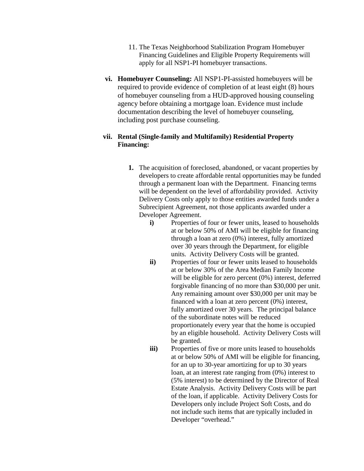- 11. The Texas Neighborhood Stabilization Program Homebuyer Financing Guidelines and Eligible Property Requirements will apply for all NSP1-PI homebuyer transactions.
- **vi. Homebuyer Counseling:** All NSP1-PI-assisted homebuyers will be required to provide evidence of completion of at least eight (8) hours of homebuyer counseling from a HUD-approved housing counseling agency before obtaining a mortgage loan. Evidence must include documentation describing the level of homebuyer counseling, including post purchase counseling.

### **vii. Rental (Single-family and Multifamily) Residential Property Financing:**

- **1.** The acquisition of foreclosed, abandoned, or vacant properties by developers to create affordable rental opportunities may be funded through a permanent loan with the Department. Financing terms will be dependent on the level of affordability provided. Activity Delivery Costs only apply to those entities awarded funds under a Subrecipient Agreement, not those applicants awarded under a Developer Agreement.
	- **i)** Properties of four or fewer units, leased to households at or below 50% of AMI will be eligible for financing through a loan at zero (0%) interest, fully amortized over 30 years through the Department, for eligible units. Activity Delivery Costs will be granted.
	- **ii)** Properties of four or fewer units leased to households at or below 30% of the Area Median Family Income will be eligible for zero percent (0%) interest, deferred forgivable financing of no more than \$30,000 per unit. Any remaining amount over \$30,000 per unit may be financed with a loan at zero percent (0%) interest, fully amortized over 30 years. The principal balance of the subordinate notes will be reduced proportionately every year that the home is occupied by an eligible household. Activity Delivery Costs will be granted.
	- **iii**) Properties of five or more units leased to households at or below 50% of AMI will be eligible for financing, for an up to 30-year amortizing for up to 30 years loan, at an interest rate ranging from (0%) interest to (5% interest) to be determined by the Director of Real Estate Analysis. Activity Delivery Costs will be part of the loan, if applicable. Activity Delivery Costs for Developers only include Project Soft Costs, and do not include such items that are typically included in Developer "overhead."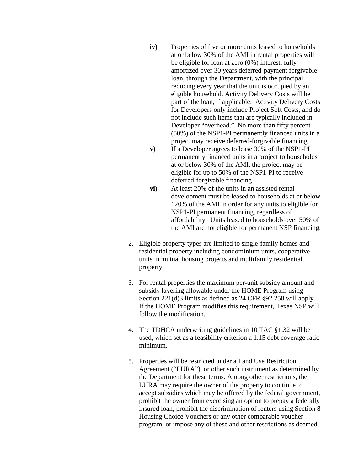- **iv)** Properties of five or more units leased to households at or below 30% of the AMI in rental properties will be eligible for loan at zero (0%) interest, fully amortized over 30 years deferred-payment forgivable loan, through the Department, with the principal reducing every year that the unit is occupied by an eligible household. Activity Delivery Costs will be part of the loan, if applicable. Activity Delivery Costs for Developers only include Project Soft Costs, and do not include such items that are typically included in Developer "overhead." No more than fifty percent (50%) of the NSP1-PI permanently financed units in a project may receive deferred-forgivable financing.
- **v)** If a Developer agrees to lease 30% of the NSP1-PI permanently financed units in a project to households at or below 30% of the AMI, the project may be eligible for up to 50% of the NSP1-PI to receive deferred-forgivable financing
- **vi)** At least 20% of the units in an assisted rental development must be leased to households at or below 120% of the AMI in order for any units to eligible for NSP1-PI permanent financing, regardless of affordability. Units leased to households over 50% of the AMI are not eligible for permanent NSP financing.
- 2. Eligible property types are limited to single-family homes and residential property including condominium units, cooperative units in mutual housing projects and multifamily residential property.
- 3. For rental properties the maximum per-unit subsidy amount and subsidy layering allowable under the HOME Program using Section 221(d)3 limits as defined as 24 CFR §92.250 will apply. If the HOME Program modifies this requirement, Texas NSP will follow the modification.
- 4. The TDHCA underwriting guidelines in 10 TAC §1.32 will be used, which set as a feasibility criterion a 1.15 debt coverage ratio minimum.
- 5. Properties will be restricted under a Land Use Restriction Agreement ("LURA"), or other such instrument as determined by the Department for these terms. Among other restrictions, the LURA may require the owner of the property to continue to accept subsidies which may be offered by the federal government, prohibit the owner from exercising an option to prepay a federally insured loan, prohibit the discrimination of renters using Section 8 Housing Choice Vouchers or any other comparable voucher program, or impose any of these and other restrictions as deemed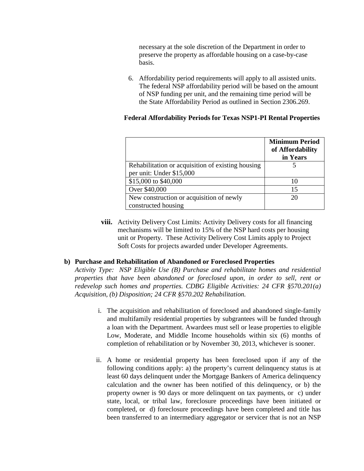necessary at the sole discretion of the Department in order to preserve the property as affordable housing on a case-by-case basis.

6. Affordability period requirements will apply to all assisted units. The federal NSP affordability period will be based on the amount of NSP funding per unit, and the remaining time period will be the State Affordability Period as outlined in Section 2306.269.

### **Federal Affordability Periods for Texas NSP1-PI Rental Properties**

|                                                                               | <b>Minimum Period</b><br>of Affordability<br>in Years |
|-------------------------------------------------------------------------------|-------------------------------------------------------|
| Rehabilitation or acquisition of existing housing<br>per unit: Under \$15,000 |                                                       |
| \$15,000 to \$40,000                                                          | 10                                                    |
| Over \$40,000                                                                 | 15                                                    |
| New construction or acquisition of newly<br>constructed housing               | 20                                                    |

**viii.** Activity Delivery Cost Limits: Activity Delivery costs for all financing mechanisms will be limited to 15% of the NSP hard costs per housing unit or Property. These Activity Delivery Cost Limits apply to Project Soft Costs for projects awarded under Developer Agreements.

#### **b) Purchase and Rehabilitation of Abandoned or Foreclosed Properties**

*Activity Type: NSP Eligible Use (B) Purchase and rehabilitate homes and residential properties that have been abandoned or foreclosed upon, in order to sell, rent or redevelop such homes and properties. CDBG Eligible Activities: 24 CFR §570.201(a) Acquisition, (b) Disposition; 24 CFR §570.202 Rehabilitation.*

- i. The acquisition and rehabilitation of foreclosed and abandoned single-family and multifamily residential properties by subgrantees will be funded through a loan with the Department. Awardees must sell or lease properties to eligible Low, Moderate, and Middle Income households within six (6) months of completion of rehabilitation or by November 30, 2013, whichever is sooner.
- ii. A home or residential property has been foreclosed upon if any of the following conditions apply: a) the property's current delinquency status is at least 60 days delinquent under the Mortgage Bankers of America delinquency calculation and the owner has been notified of this delinquency, or b) the property owner is 90 days or more delinquent on tax payments, or c) under state, local, or tribal law, foreclosure proceedings have been initiated or completed, or d) foreclosure proceedings have been completed and title has been transferred to an intermediary aggregator or servicer that is not an NSP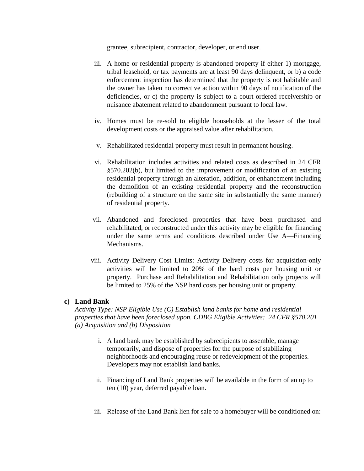grantee, subrecipient, contractor, developer, or end user.

- iii. A home or residential property is abandoned property if either 1) mortgage, tribal leasehold, or tax payments are at least 90 days delinquent, or b) a code enforcement inspection has determined that the property is not habitable and the owner has taken no corrective action within 90 days of notification of the deficiencies, or c) the property is subject to a court-ordered receivership or nuisance abatement related to abandonment pursuant to local law.
- iv. Homes must be re-sold to eligible households at the lesser of the total development costs or the appraised value after rehabilitation.
- v. Rehabilitated residential property must result in permanent housing.
- vi. Rehabilitation includes activities and related costs as described in 24 CFR *§*570.202(b), but limited to the improvement or modification of an existing residential property through an alteration, addition, or enhancement including the demolition of an existing residential property and the reconstruction (rebuilding of a structure on the same site in substantially the same manner) of residential property.
- vii. Abandoned and foreclosed properties that have been purchased and rehabilitated, or reconstructed under this activity may be eligible for financing under the same terms and conditions described under Use A—Financing Mechanisms.
- viii. Activity Delivery Cost Limits: Activity Delivery costs for acquisition-only activities will be limited to 20% of the hard costs per housing unit or property. Purchase and Rehabilitation and Rehabilitation only projects will be limited to 25% of the NSP hard costs per housing unit or property.

#### **c) Land Bank**

*Activity Type: NSP Eligible Use (C) Establish land banks for home and residential properties that have been foreclosed upon. CDBG Eligible Activities: 24 CFR §570.201 (a) Acquisition and (b) Disposition*

- i. A land bank may be established by subrecipients to assemble, manage temporarily, and dispose of properties for the purpose of stabilizing neighborhoods and encouraging reuse or redevelopment of the properties. Developers may not establish land banks.
- ii. Financing of Land Bank properties will be available in the form of an up to ten (10) year, deferred payable loan.
- iii. Release of the Land Bank lien for sale to a homebuyer will be conditioned on: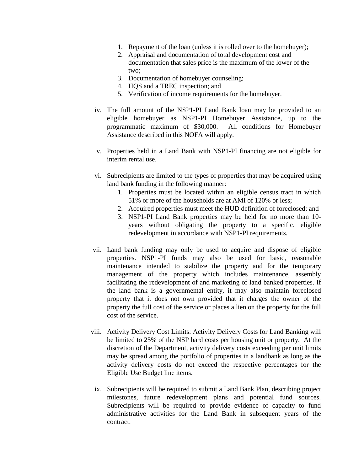- 1. Repayment of the loan (unless it is rolled over to the homebuyer);
- 2. Appraisal and documentation of total development cost and documentation that sales price is the maximum of the lower of the two;
- 3. Documentation of homebuyer counseling;
- 4. HQS and a TREC inspection; and
- 5. Verification of income requirements for the homebuyer.
- iv. The full amount of the NSP1-PI Land Bank loan may be provided to an eligible homebuyer as NSP1-PI Homebuyer Assistance, up to the programmatic maximum of \$30,000. All conditions for Homebuyer Assistance described in this NOFA will apply.
- v. Properties held in a Land Bank with NSP1-PI financing are not eligible for interim rental use.
- vi. Subrecipients are limited to the types of properties that may be acquired using land bank funding in the following manner:
	- 1. Properties must be located within an eligible census tract in which 51% or more of the households are at AMI of 120% or less;
	- 2. Acquired properties must meet the HUD definition of foreclosed; and
	- 3. NSP1-PI Land Bank properties may be held for no more than 10 years without obligating the property to a specific, eligible redevelopment in accordance with NSP1-PI requirements.
- vii. Land bank funding may only be used to acquire and dispose of eligible properties. NSP1-PI funds may also be used for basic, reasonable maintenance intended to stabilize the property and for the temporary management of the property which includes maintenance, assembly facilitating the redevelopment of and marketing of land banked properties. If the land bank is a governmental entity, it may also maintain foreclosed property that it does not own provided that it charges the owner of the property the full cost of the service or places a lien on the property for the full cost of the service.
- viii. Activity Delivery Cost Limits: Activity Delivery Costs for Land Banking will be limited to 25% of the NSP hard costs per housing unit or property. At the discretion of the Department, activity delivery costs exceeding per unit limits may be spread among the portfolio of properties in a landbank as long as the activity delivery costs do not exceed the respective percentages for the Eligible Use Budget line items.
- ix. Subrecipients will be required to submit a Land Bank Plan, describing project milestones, future redevelopment plans and potential fund sources. Subrecipients will be required to provide evidence of capacity to fund administrative activities for the Land Bank in subsequent years of the contract.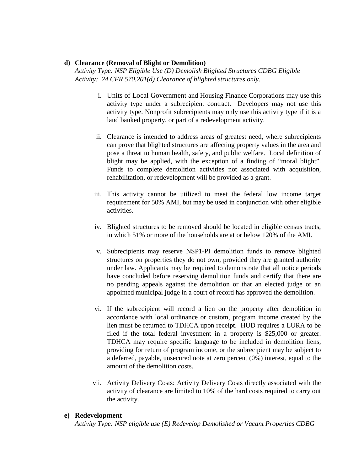#### **d) Clearance (Removal of Blight or Demolition)**

*Activity Type: NSP Eligible Use (D) Demolish Blighted Structures CDBG Eligible Activity: 24 CFR 570.201(d) Clearance of blighted structures only.* 

- i. Units of Local Government and Housing Finance Corporations may use this activity type under a subrecipient contract. Developers may not use this activity type. Nonprofit subrecipients may only use this activity type if it is a land banked property, or part of a redevelopment activity.
- ii. Clearance is intended to address areas of greatest need, where subrecipients can prove that blighted structures are affecting property values in the area and pose a threat to human health, safety, and public welfare. Local definition of blight may be applied, with the exception of a finding of "moral blight". Funds to complete demolition activities not associated with acquisition, rehabilitation, or redevelopment will be provided as a grant.
- iii. This activity cannot be utilized to meet the federal low income target requirement for 50% AMI, but may be used in conjunction with other eligible activities.
- iv. Blighted structures to be removed should be located in eligible census tracts, in which 51% or more of the households are at or below 120% of the AMI.
- v. Subrecipients may reserve NSP1-PI demolition funds to remove blighted structures on properties they do not own, provided they are granted authority under law. Applicants may be required to demonstrate that all notice periods have concluded before reserving demolition funds and certify that there are no pending appeals against the demolition or that an elected judge or an appointed municipal judge in a court of record has approved the demolition.
- vi. If the subrecipient will record a lien on the property after demolition in accordance with local ordinance or custom, program income created by the lien must be returned to TDHCA upon receipt. HUD requires a LURA to be filed if the total federal investment in a property is \$25,000 or greater. TDHCA may require specific language to be included in demolition liens, providing for return of program income, or the subrecipient may be subject to a deferred, payable, unsecured note at zero percent (0%) interest, equal to the amount of the demolition costs.
- vii. Activity Delivery Costs: Activity Delivery Costs directly associated with the activity of clearance are limited to 10% of the hard costs required to carry out the activity.

#### **e) Redevelopment**

*Activity Type: NSP eligible use (E) Redevelop Demolished or Vacant Properties CDBG*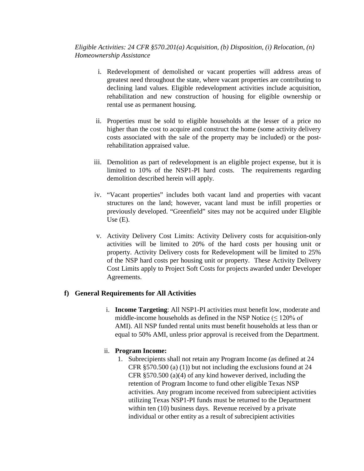*Eligible Activities: 24 CFR §570.201(a) Acquisition, (b) Disposition, (i) Relocation, (n) Homeownership Assistance* 

- i. Redevelopment of demolished or vacant properties will address areas of greatest need throughout the state, where vacant properties are contributing to declining land values. Eligible redevelopment activities include acquisition, rehabilitation and new construction of housing for eligible ownership or rental use as permanent housing.
- ii. Properties must be sold to eligible households at the lesser of a price no higher than the cost to acquire and construct the home (some activity delivery costs associated with the sale of the property may be included) or the postrehabilitation appraised value.
- iii. Demolition as part of redevelopment is an eligible project expense, but it is limited to 10% of the NSP1-PI hard costs. The requirements regarding demolition described herein will apply.
- iv. "Vacant properties" includes both vacant land and properties with vacant structures on the land; however, vacant land must be infill properties or previously developed. "Greenfield" sites may not be acquired under Eligible Use (E).
- v. Activity Delivery Cost Limits: Activity Delivery costs for acquisition-only activities will be limited to 20% of the hard costs per housing unit or property. Activity Delivery costs for Redevelopment will be limited to 25% of the NSP hard costs per housing unit or property. These Activity Delivery Cost Limits apply to Project Soft Costs for projects awarded under Developer Agreements.

# **f) General Requirements for All Activities**

i. **Income Targeting**: All NSP1-PI activities must benefit low, moderate and middle-income households as defined in the NSP Notice  $(< 120\%$  of AMI). All NSP funded rental units must benefit households at less than or equal to 50% AMI, unless prior approval is received from the Department.

# ii. **Program Income:**

1. Subrecipients shall not retain any Program Income (as defined at 24 CFR §570.500 (a) (1)) but not including the exclusions found at 24 CFR §570.500 (a)(4) of any kind however derived, including the retention of Program Income to fund other eligible Texas NSP activities. Any program income received from subrecipient activities utilizing Texas NSP1-PI funds must be returned to the Department within ten (10) business days. Revenue received by a private individual or other entity as a result of subrecipient activities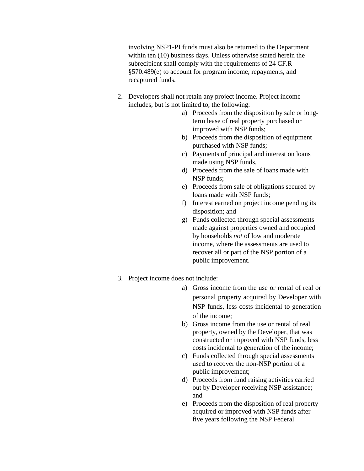involving NSP1-PI funds must also be returned to the Department within ten (10) business days. Unless otherwise stated herein the subrecipient shall comply with the requirements of 24 CF.R §570.489(e) to account for program income, repayments, and recaptured funds.

- 2. Developers shall not retain any project income. Project income includes, but is not limited to, the following:
	- a) Proceeds from the disposition by sale or longterm lease of real property purchased or improved with NSP funds;
	- b) Proceeds from the disposition of equipment purchased with NSP funds;
	- c) Payments of principal and interest on loans made using NSP funds,
	- d) Proceeds from the sale of loans made with NSP funds;
	- e) Proceeds from sale of obligations secured by loans made with NSP funds;
	- f) Interest earned on project income pending its disposition; and
	- g) Funds collected through special assessments made against properties owned and occupied by households *not* of low and moderate income, where the assessments are used to recover all or part of the NSP portion of a public improvement.
- 3. Project income does not include:
	- a) Gross income from the use or rental of real or personal property acquired by Developer with NSP funds, less costs incidental to generation of the income;
	- b) Gross income from the use or rental of real property, owned by the Developer, that was constructed or improved with NSP funds, less costs incidental to generation of the income;
	- c) Funds collected through special assessments used to recover the non-NSP portion of a public improvement;
	- d) Proceeds from fund raising activities carried out by Developer receiving NSP assistance; and
	- e) Proceeds from the disposition of real property acquired or improved with NSP funds after five years following the NSP Federal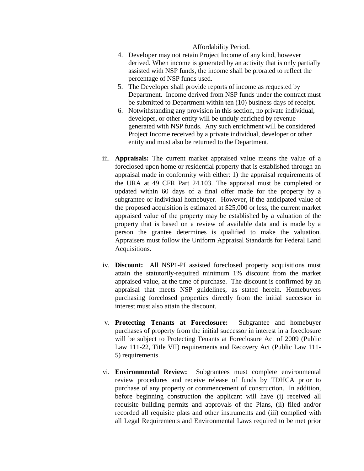#### Affordability Period.

- 4. Developer may not retain Project Income of any kind, however derived. When income is generated by an activity that is only partially assisted with NSP funds, the income shall be prorated to reflect the percentage of NSP funds used.
- 5. The Developer shall provide reports of income as requested by Department. Income derived from NSP funds under the contract must be submitted to Department within ten (10) business days of receipt.
- 6. Notwithstanding any provision in this section, no private individual, developer, or other entity will be unduly enriched by revenue generated with NSP funds. Any such enrichment will be considered Project Income received by a private individual, developer or other entity and must also be returned to the Department.
- iii. **Appraisals:** The current market appraised value means the value of a foreclosed upon home or residential property that is established through an appraisal made in conformity with either: 1) the appraisal requirements of the URA at 49 CFR Part 24.103. The appraisal must be completed or updated within 60 days of a final offer made for the property by a subgrantee or individual homebuyer. However, if the anticipated value of the proposed acquisition is estimated at \$25,000 or less, the current market appraised value of the property may be established by a valuation of the property that is based on a review of available data and is made by a person the grantee determines is qualified to make the valuation. Appraisers must follow the Uniform Appraisal Standards for Federal Land Acquisitions.
- iv. **Discount:** All NSP1-PI assisted foreclosed property acquisitions must attain the statutorily-required minimum 1% discount from the market appraised value, at the time of purchase. The discount is confirmed by an appraisal that meets NSP guidelines, as stated herein. Homebuyers purchasing foreclosed properties directly from the initial successor in interest must also attain the discount.
- v. **Protecting Tenants at Foreclosure:** Subgrantee and homebuyer purchases of property from the initial successor in interest in a foreclosure will be subject to Protecting Tenants at Foreclosure Act of 2009 (Public Law 111-22, Title VII) requirements and Recovery Act (Public Law 111- 5) requirements.
- vi. **Environmental Review:** Subgrantees must complete environmental review procedures and receive release of funds by TDHCA prior to purchase of any property or commencement of construction. In addition, before beginning construction the applicant will have (i) received all requisite building permits and approvals of the Plans, (ii) filed and/or recorded all requisite plats and other instruments and (iii) complied with all Legal Requirements and Environmental Laws required to be met prior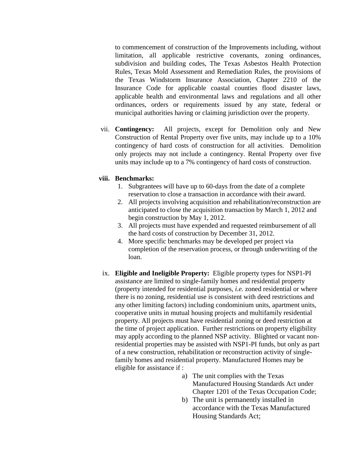to commencement of construction of the Improvements including, without limitation, all applicable restrictive covenants, zoning ordinances, subdivision and building codes, The Texas Asbestos Health Protection Rules, Texas Mold Assessment and Remediation Rules, the provisions of the Texas Windstorm Insurance Association, Chapter 2210 of the Insurance Code for applicable coastal counties flood disaster laws, applicable health and environmental laws and regulations and all other ordinances, orders or requirements issued by any state, federal or municipal authorities having or claiming jurisdiction over the property.

vii. **Contingency:** All projects, except for Demolition only and New Construction of Rental Property over five units, may include up to a 10% contingency of hard costs of construction for all activities. Demolition only projects may not include a contingency. Rental Property over five units may include up to a 7% contingency of hard costs of construction.

### **viii. Benchmarks:**

- 1. Subgrantees will have up to 60-days from the date of a complete reservation to close a transaction in accordance with their award.
- 2. All projects involving acquisition and rehabilitation/reconstruction are anticipated to close the acquisition transaction by March 1, 2012 and begin construction by May 1, 2012.
- 3. All projects must have expended and requested reimbursement of all the hard costs of construction by December 31, 2012.
- 4. More specific benchmarks may be developed per project via completion of the reservation process, or through underwriting of the loan.
- ix. **Eligible and Ineligible Property:** Eligible property types for NSP1-PI assistance are limited to single-family homes and residential property (property intended for residential purposes, *i.e.* zoned residential or where there is no zoning, residential use is consistent with deed restrictions and any other limiting factors) including condominium units, apartment units, cooperative units in mutual housing projects and multifamily residential property. All projects must have residential zoning or deed restriction at the time of project application. Further restrictions on property eligibility may apply according to the planned NSP activity. Blighted or vacant nonresidential properties may be assisted with NSP1-PI funds, but only as part of a new construction, rehabilitation or reconstruction activity of singlefamily homes and residential property. Manufactured Homes may be eligible for assistance if :
	- a) The unit complies with the Texas Manufactured Housing Standards Act under Chapter 1201 of the Texas Occupation Code;
	- b) The unit is permanently installed in accordance with the Texas Manufactured Housing Standards Act;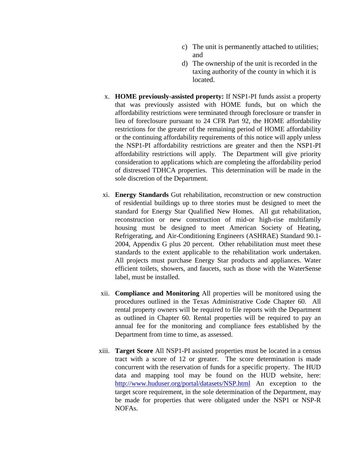- c) The unit is permanently attached to utilities; and
- d) The ownership of the unit is recorded in the taxing authority of the county in which it is located.
- x. **HOME previously-assisted property:** If NSP1-PI funds assist a property that was previously assisted with HOME funds, but on which the affordability restrictions were terminated through foreclosure or transfer in lieu of foreclosure pursuant to 24 CFR Part 92, the HOME affordability restrictions for the greater of the remaining period of HOME affordability or the continuing affordability requirements of this notice will apply unless the NSP1-PI affordability restrictions are greater and then the NSP1-PI affordability restrictions will apply. The Department will give priority consideration to applications which are completing the affordability period of distressed TDHCA properties. This determination will be made in the sole discretion of the Department.
- xi. **Energy Standards** Gut rehabilitation, reconstruction or new construction of residential buildings up to three stories must be designed to meet the standard for Energy Star Qualified New Homes. All gut rehabilitation, reconstruction or new construction of mid-or high-rise multifamily housing must be designed to meet American Society of Heating, Refrigerating, and Air-Conditioning Engineers (ASHRAE) Standard 90.1- 2004, Appendix G plus 20 percent. Other rehabilitation must meet these standards to the extent applicable to the rehabilitation work undertaken. All projects must purchase Energy Star products and appliances. Water efficient toilets, showers, and faucets, such as those with the WaterSense label, must be installed.
- xii. **Compliance and Monitoring** All properties will be monitored using the procedures outlined in the Texas Administrative Code Chapter 60. All rental property owners will be required to file reports with the Department as outlined in Chapter 60. Rental properties will be required to pay an annual fee for the monitoring and compliance fees established by the Department from time to time, as assessed.
- xiii. **Target Score** All NSP1-PI assisted properties must be located in a census tract with a score of 12 or greater. The score determination is made concurrent with the reservation of funds for a specific property. The HUD data and mapping tool may be found on the HUD website, here: <http://www.huduser.org/portal/datasets/NSP.html> An exception to the target score requirement, in the sole determination of the Department, may be made for properties that were obligated under the NSP1 or NSP-R NOFAs.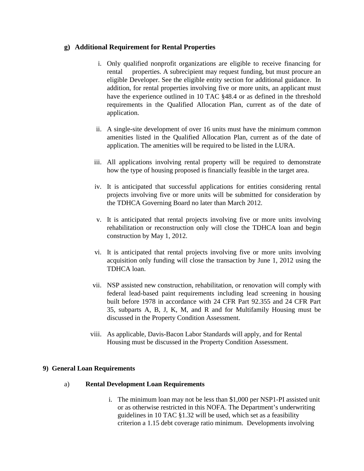# **g) Additional Requirement for Rental Properties**

- i. Only qualified nonprofit organizations are eligible to receive financing for rental properties. A subrecipient may request funding, but must procure an eligible Developer. See the eligible entity section for additional guidance. In addition, for rental properties involving five or more units, an applicant must have the experience outlined in 10 TAC §48.4 or as defined in the threshold requirements in the Qualified Allocation Plan, current as of the date of application.
- ii. A single-site development of over 16 units must have the minimum common amenities listed in the Qualified Allocation Plan, current as of the date of application. The amenities will be required to be listed in the LURA.
- iii. All applications involving rental property will be required to demonstrate how the type of housing proposed is financially feasible in the target area.
- iv. It is anticipated that successful applications for entities considering rental projects involving five or more units will be submitted for consideration by the TDHCA Governing Board no later than March 2012.
- v. It is anticipated that rental projects involving five or more units involving rehabilitation or reconstruction only will close the TDHCA loan and begin construction by May 1, 2012.
- vi. It is anticipated that rental projects involving five or more units involving acquisition only funding will close the transaction by June 1, 2012 using the TDHCA loan.
- vii. NSP assisted new construction, rehabilitation, or renovation will comply with federal lead-based paint requirements including lead screening in housing built before 1978 in accordance with 24 CFR Part 92.355 and 24 CFR Part 35, subparts A, B, J, K, M, and R and for Multifamily Housing must be discussed in the Property Condition Assessment.
- viii. As applicable, Davis-Bacon Labor Standards will apply, and for Rental Housing must be discussed in the Property Condition Assessment.

# **9) General Loan Requirements**

#### a) **Rental Development Loan Requirements**

i. The minimum loan may not be less than \$1,000 per NSP1-PI assisted unit or as otherwise restricted in this NOFA. The Department's underwriting guidelines in 10 TAC §1.32 will be used, which set as a feasibility criterion a 1.15 debt coverage ratio minimum. Developments involving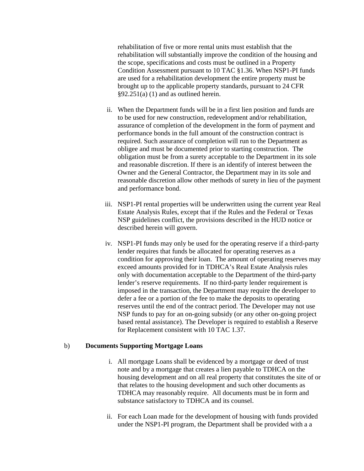rehabilitation of five or more rental units must establish that the rehabilitation will substantially improve the condition of the housing and the scope, specifications and costs must be outlined in a Property Condition Assessment pursuant to 10 TAC §1.36. When NSP1-PI funds are used for a rehabilitation development the entire property must be brought up to the applicable property standards, pursuant to 24 CFR  $§92.251(a) (1)$  and as outlined herein.

- ii. When the Department funds will be in a first lien position and funds are to be used for new construction, redevelopment and/or rehabilitation, assurance of completion of the development in the form of payment and performance bonds in the full amount of the construction contract is required. Such assurance of completion will run to the Department as obligee and must be documented prior to starting construction. The obligation must be from a surety acceptable to the Department in its sole and reasonable discretion. If there is an identify of interest between the Owner and the General Contractor, the Department may in its sole and reasonable discretion allow other methods of surety in lieu of the payment and performance bond.
- iii. NSP1-PI rental properties will be underwritten using the current year Real Estate Analysis Rules, except that if the Rules and the Federal or Texas NSP guidelines conflict, the provisions described in the HUD notice or described herein will govern.
- iv. NSP1-PI funds may only be used for the operating reserve if a third-party lender requires that funds be allocated for operating reserves as a condition for approving their loan. The amount of operating reserves may exceed amounts provided for in TDHCA's Real Estate Analysis rules only with documentation acceptable to the Department of the third-party lender's reserve requirements. If no third-party lender requirement is imposed in the transaction, the Department may require the developer to defer a fee or a portion of the fee to make the deposits to operating reserves until the end of the contract period. The Developer may not use NSP funds to pay for an on-going subsidy (or any other on-going project based rental assistance). The Developer is required to establish a Reserve for Replacement consistent with 10 TAC 1.37.

# b) **Documents Supporting Mortgage Loans**

- i. All mortgage Loans shall be evidenced by a mortgage or deed of trust note and by a mortgage that creates a lien payable to TDHCA on the housing development and on all real property that constitutes the site of or that relates to the housing development and such other documents as TDHCA may reasonably require. All documents must be in form and substance satisfactory to TDHCA and its counsel.
- ii. For each Loan made for the development of housing with funds provided under the NSP1-PI program, the Department shall be provided with a a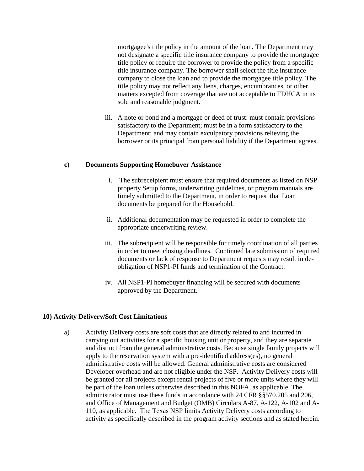mortgagee's title policy in the amount of the loan. The Department may not designate a specific title insurance company to provide the mortgagee title policy or require the borrower to provide the policy from a specific title insurance company. The borrower shall select the title insurance company to close the loan and to provide the mortgagee title policy. The title policy may not reflect any liens, charges, encumbrances, or other matters excepted from coverage that are not acceptable to TDHCA in its sole and reasonable judgment.

iii. A note or bond and a mortgage or deed of trust: must contain provisions satisfactory to the Department; must be in a form satisfactory to the Department; and may contain exculpatory provisions relieving the borrower or its principal from personal liability if the Department agrees.

#### **c) Documents Supporting Homebuyer Assistance**

- i. The subreceipient must ensure that required documents as listed on NSP property Setup forms, underwriting guidelines, or program manuals are timely submitted to the Department, in order to request that Loan documents be prepared for the Household.
- ii. Additional documentation may be requested in order to complete the appropriate underwriting review.
- iii. The subrecipient will be responsible for timely coordination of all parties in order to meet closing deadlines. Continued late submission of required documents or lack of response to Department requests may result in deobligation of NSP1-PI funds and termination of the Contract.
- iv. All NSP1-PI homebuyer financing will be secured with documents approved by the Department.

# **10) Activity Delivery/Soft Cost Limitations**

a) Activity Delivery costs are soft costs that are directly related to and incurred in carrying out activities for a specific housing unit or property, and they are separate and distinct from the general administrative costs. Because single family projects will apply to the reservation system with a pre-identified address(es), no general administrative costs will be allowed. General administrative costs are considered Developer overhead and are not eligible under the NSP. Activity Delivery costs will be granted for all projects except rental projects of five or more units where they will be part of the loan unless otherwise described in this NOFA, as applicable. The administrator must use these funds in accordance with 24 CFR §§570.205 and 206, and Office of Management and Budget (OMB) Circulars A-87, A-122, A-102 and A-110, as applicable. The Texas NSP limits Activity Delivery costs according to activity as specifically described in the program activity sections and as stated herein.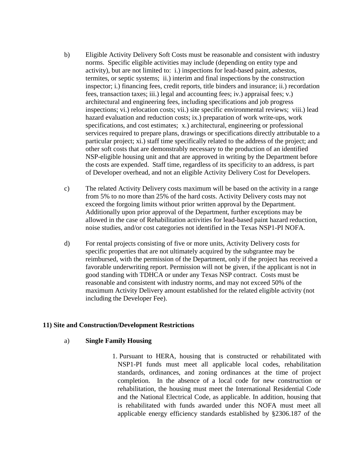- b) Eligible Activity Delivery Soft Costs must be reasonable and consistent with industry norms. Specific eligible activities may include (depending on entity type and activity), but are not limited to: i.) inspections for lead-based paint, asbestos, termites, or septic systems; ii.) interim and final inspections by the construction inspector; i.) financing fees, credit reports, title binders and insurance; ii.) recordation fees, transaction taxes; iii.) legal and accounting fees; iv.) appraisal fees; v.) architectural and engineering fees, including specifications and job progress inspections; vi.) relocation costs; vii.) site specific environmental reviews; viii.) lead hazard evaluation and reduction costs; ix.) preparation of work write-ups, work specifications, and cost estimates; x.) architectural, engineering or professional services required to prepare plans, drawings or specifications directly attributable to a particular project; xi.) staff time specifically related to the address of the project; and other soft costs that are demonstrably necessary to the production of an identified NSP-eligible housing unit and that are approved in writing by the Department before the costs are expended. Staff time, regardless of its specificity to an address, is part of Developer overhead, and not an eligible Activity Delivery Cost for Developers.
- c) The related Activity Delivery costs maximum will be based on the activity in a range from 5% to no more than 25% of the hard costs. Activity Delivery costs may not exceed the forgoing limits without prior written approval by the Department. Additionally upon prior approval of the Department, further exceptions may be allowed in the case of Rehabilitation activities for lead-based paint hazard reduction, noise studies, and/or cost categories not identified in the Texas NSP1-PI NOFA.
- d) For rental projects consisting of five or more units, Activity Delivery costs for specific properties that are not ultimately acquired by the subgrantee may be reimbursed, with the permission of the Department, only if the project has received a favorable underwriting report. Permission will not be given, if the applicant is not in good standing with TDHCA or under any Texas NSP contract. Costs must be reasonable and consistent with industry norms, and may not exceed 50% of the maximum Activity Delivery amount established for the related eligible activity (not including the Developer Fee).

# **11) Site and Construction/Development Restrictions**

#### a) **Single Family Housing**

1. Pursuant to HERA, housing that is constructed or rehabilitated with NSP1-PI funds must meet all applicable local codes, rehabilitation standards, ordinances, and zoning ordinances at the time of project completion. In the absence of a local code for new construction or rehabilitation, the housing must meet the International Residential Code and the National Electrical Code, as applicable. In addition, housing that is rehabilitated with funds awarded under this NOFA must meet all applicable energy efficiency standards established by §2306.187 of the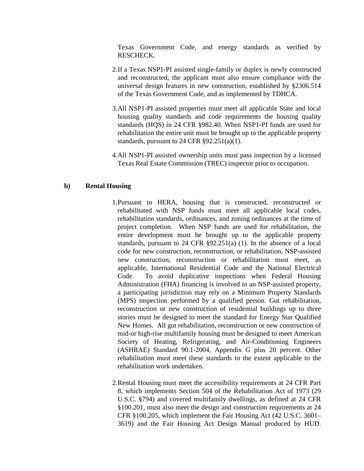Texas Government Code, and energy standards as verified by RESCHECK.

- 2.If a Texas NSP1-PI assisted single-family or duplex is newly constructed and reconstructed, the applicant must also ensure compliance with the universal design features in new construction, established by §2306.514 of the Texas Government Code, and as implemented by TDHCA.
- 3.All NSP1-PI assisted properties must meet all applicable State and local housing quality standards and code requirements the housing quality standards (HQS) in 24 CFR §982.40. When NSP1-PI funds are used for rehabilitation the entire unit must be brought up to the applicable property standards, pursuant to 24 CFR  $\S 92.251(a)(1)$ .
- 4.All NSP1-PI assisted ownership units must pass inspection by a licensed Texas Real Estate Commission (TREC) inspector prior to occupation.

### **b) Rental Housing**

- 1.Pursuant to HERA, housing that is constructed, reconstructed or rehabilitated with NSP funds must meet all applicable local codes, rehabilitation standards, ordinances, and zoning ordinances at the time of project completion. When NSP funds are used for rehabilitation, the entire development must be brought up to the applicable property standards, pursuant to 24 CFR §92.251(a) (1). In the absence of a local code for new construction, reconstruction, or rehabilitation, NSP-assisted new construction, reconstruction or rehabilitation must meet, as applicable, International Residential Code and the National Electrical Code. To avoid duplicative inspections when Federal Housing Administration (FHA) financing is involved in an NSP-assisted property, a participating jurisdiction may rely on a Minimum Property Standards (MPS) inspection performed by a qualified person. Gut rehabilitation, reconstruction or new construction of residential buildings up to three stories must be designed to meet the standard for Energy Star Qualified New Homes. All gut rehabilitation, reconstruction or new construction of mid-or high-rise multifamily housing must be designed to meet American Society of Heating, Refrigerating, and Air-Conditioning Engineers (ASHRAE) Standard 90.1-2004, Appendix G plus 20 percent. Other rehabilitation must meet these standards to the extent applicable to the rehabilitation work undertaken.
- 2.Rental Housing must meet the accessibility requirements at 24 CFR Part 8, which implements Section 504 of the Rehabilitation Act of 1973 (29 U.S.C. §794) and covered multifamily dwellings, as defined at 24 CFR §100.201, must also meet the design and construction requirements at 24 CFR §100.205, which implement the Fair Housing Act (42 U.S.C. 3601– 3619) and the Fair Housing Act Design Manual produced by HUD.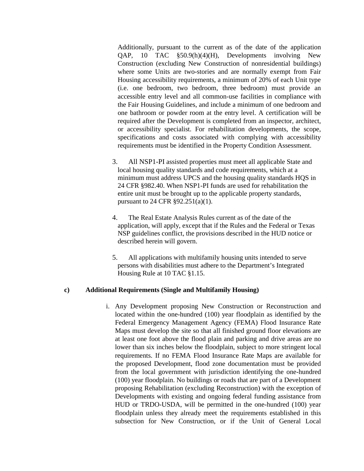Additionally, pursuant to the current as of the date of the application QAP, 10 TAC §50.9(h)(4)(H), Developments involving New Construction (excluding New Construction of nonresidential buildings) where some Units are two-stories and are normally exempt from Fair Housing accessibility requirements, a minimum of 20% of each Unit type (i.e. one bedroom, two bedroom, three bedroom) must provide an accessible entry level and all common-use facilities in compliance with the Fair Housing Guidelines, and include a minimum of one bedroom and one bathroom or powder room at the entry level. A certification will be required after the Development is completed from an inspector, architect, or accessibility specialist. For rehabilitation developments, the scope, specifications and costs associated with complying with accessibility requirements must be identified in the Property Condition Assessment.

- 3. All NSP1-PI assisted properties must meet all applicable State and local housing quality standards and code requirements, which at a minimum must address UPCS and the housing quality standards HQS in 24 CFR §982.40. When NSP1-PI funds are used for rehabilitation the entire unit must be brought up to the applicable property standards, pursuant to 24 CFR §92.251(a)(1).
- 4. The Real Estate Analysis Rules current as of the date of the application, will apply, except that if the Rules and the Federal or Texas NSP guidelines conflict, the provisions described in the HUD notice or described herein will govern.
- 5. All applications with multifamily housing units intended to serve persons with disabilities must adhere to the Department's Integrated Housing Rule at 10 TAC §1.15.

#### **c) Additional Requirements (Single and Multifamily Housing)**

i. Any Development proposing New Construction or Reconstruction and located within the one-hundred (100) year floodplain as identified by the Federal Emergency Management Agency (FEMA) Flood Insurance Rate Maps must develop the site so that all finished ground floor elevations are at least one foot above the flood plain and parking and drive areas are no lower than six inches below the floodplain, subject to more stringent local requirements. If no FEMA Flood Insurance Rate Maps are available for the proposed Development, flood zone documentation must be provided from the local government with jurisdiction identifying the one-hundred (100) year floodplain. No buildings or roads that are part of a Development proposing Rehabilitation (excluding Reconstruction) with the exception of Developments with existing and ongoing federal funding assistance from HUD or TRDO-USDA, will be permitted in the one-hundred (100) year floodplain unless they already meet the requirements established in this subsection for New Construction, or if the Unit of General Local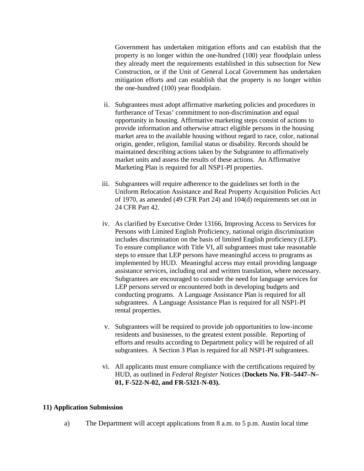Government has undertaken mitigation efforts and can establish that the property is no longer within the one-hundred (100) year floodplain unless they already meet the requirements established in this subsection for New Construction, or if the Unit of General Local Government has undertaken mitigation efforts and can establish that the property is no longer within the one-hundred (100) year floodplain.

- ii. Subgrantees must adopt affirmative marketing policies and procedures in furtherance of Texas' commitment to non-discrimination and equal opportunity in housing. Affirmative marketing steps consist of actions to provide information and otherwise attract eligible persons in the housing market area to the available housing without regard to race, color, national origin, gender, religion, familial status or disability. Records should be maintained describing actions taken by the Subgrantee to affirmatively market units and assess the results of these actions. An Affirmative Marketing Plan is required for all NSP1-PI properties.
- iii. Subgrantees will require adherence to the guidelines set forth in the Uniform Relocation Assistance and Real Property Acquisition Policies Act of 1970, as amended (49 CFR Part 24) and 104(d) requirements set out in 24 CFR Part 42.
- iv. As clarified by Executive Order 13166, Improving Access to Services for Persons with Limited English Proficiency, national origin discrimination includes discrimination on the basis of limited English proficiency (LEP). To ensure compliance with Title VI, all subgrantees must take reasonable steps to ensure that LEP persons have meaningful access to programs as implemented by HUD. Meaningful access may entail providing language assistance services, including oral and written translation, where necessary. Subgrantees are encouraged to consider the need for language services for LEP persons served or encountered both in developing budgets and conducting programs. A Language Assistance Plan is required for all subgrantees. A Language Assistance Plan is required for all NSP1-PI rental properties.
- v. Subgrantees will be required to provide job opportunities to low-income residents and businesses, to the greatest extent possible. Reporting of efforts and results according to Department policy will be required of all subgrantees. A Section 3 Plan is required for all NSP1-PI subgrantees.
- vi. All applicants must ensure compliance with the certifications required by HUD, as outlined in *Federal Register* Notices (**Dockets No. FR–5447–N– 01, F-522-N-02, and FR-5321-N-03).**

#### **11) Application Submission**

a) The Department will accept applications from 8 a.m. to 5 p.m. Austin local time